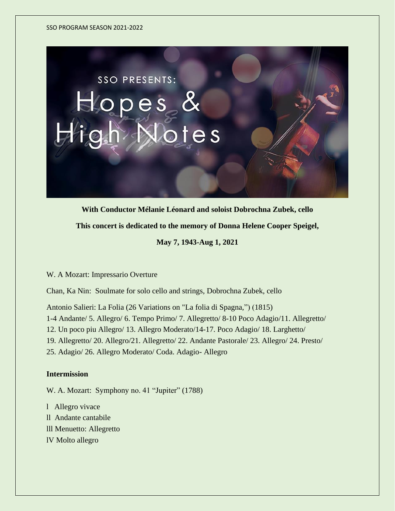

**With Conductor Mélanie Léonard and soloist Dobrochna Zubek, cello**

**This concert is dedicated to the memory of Donna Helene Cooper Speigel,**

**May 7, 1943-Aug 1, 2021**

W. A Mozart: Impressario Overture

Chan, Ka Nin: Soulmate for solo cello and strings, Dobrochna Zubek, cello

Antonio Salieri: La Folia (26 Variations on "La folia di Spagna,") (1815)

1-4 Andante/ 5. Allegro/ 6. Tempo Primo/ 7. Allegretto/ 8-10 Poco Adagio/11. Allegretto/

12. Un poco piu Allegro/ 13. Allegro Moderato/14-17. Poco Adagio/ 18. Larghetto/

19. Allegretto/ 20. Allegro/21. Allegretto/ 22. Andante Pastorale/ 23. Allegro/ 24. Presto/

25. Adagio/ 26. Allegro Moderato/ Coda. Adagio- Allegro

# **Intermission**

W. A. Mozart: Symphony no. 41 "Jupiter" (1788)

l [Allegro vivace](https://en.wikipedia.org/wiki/Tempo#Italian_tempo_markings)

- ll [Andante](https://en.wikipedia.org/wiki/Tempo#Italian_tempo_markings) [cantabile](https://en.wikipedia.org/wiki/Cantabile)
- lll [Menuetto:](https://en.wikipedia.org/wiki/Minuet) [Allegretto](https://en.wikipedia.org/wiki/Tempo#Italian_tempo_markings)
- lV [Molto allegro](https://en.wikipedia.org/wiki/Tempo#Italian_tempo_markings)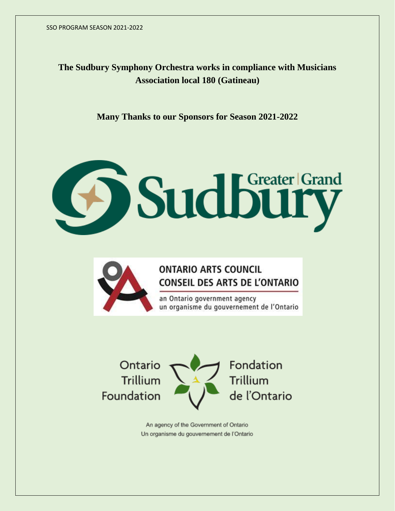**The Sudbury Symphony Orchestra works in compliance with Musicians Association local 180 (Gatineau)**

**Many Thanks to our Sponsors for Season 2021-2022**

# Sudbury



# **ONTARIO ARTS COUNCIL CONSEIL DES ARTS DE L'ONTARIO**

an Ontario government agency un organisme du gouvernement de l'Ontario



An agency of the Government of Ontario Un organisme du gouvernement de l'Ontario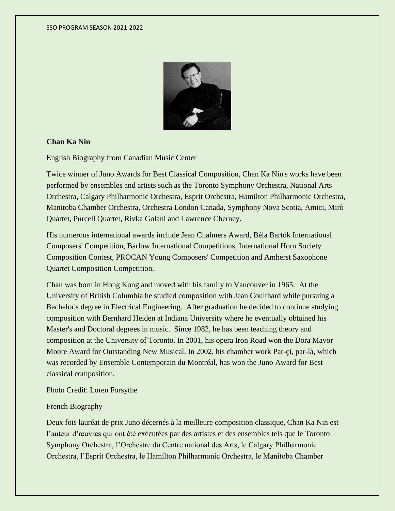

### **Chan Ka Nin**

English Biography from Canadian Music Center

Twice winner of Juno Awards for Best Classical Composition, Chan Ka Nin's works have been performed by ensembles and artists such as the Toronto Symphony Orchestra, National Arts Orchestra, Calgary Philharmonic Orchestra, Esprit Orchestra, Hamilton Philharmonic Orchestra, Manitoba Chamber Orchestra, Orchestra London Canada, Symphony Nova Scotia, Amici, Mirò Quartet, Purcell Quartet, Rivka Golani and Lawrence Cherney.

His numerous international awards include Jean Chalmers Award, Béla Bartók International Composers' Competition, Barlow International Competitions, International Horn Society Composition Contest, PROCAN Young Composers' Competition and Amherst Saxophone Quartet Composition Competition.

Chan was born in Hong Kong and moved with his family to Vancouver in 1965. At the University of British Columbia he studied composition with Jean Coulthard while pursuing a Bachelor's degree in Electrical Engineering. After graduation he decided to continue studying composition with Bernhard Heiden at Indiana University where he eventually obtained his Master's and Doctoral degrees in music. Since 1982, he has been teaching theory and composition at the University of Toronto. In 2001, his opera Iron Road won the Dora Mavor Moore Award for Outstanding New Musical. In 2002, his chamber work Par-çi, par-là, which was recorded by Ensemble Contemporain du Montréal, has won the Juno Award for Best classical composition.

Photo Credit: Loren Forsythe

### French Biography

Deux fois lauréat de prix Juno décernés à la meilleure composition classique, Chan Ka Nin est l'auteur d'œuvres qui ont été exécutées par des artistes et des ensembles tels que le Toronto Symphony Orchestra, l'Orchestre du Centre national des Arts, le Calgary Philharmonic Orchestra, l'Esprit Orchestra, le Hamilton Philharmonic Orchestra, le Manitoba Chamber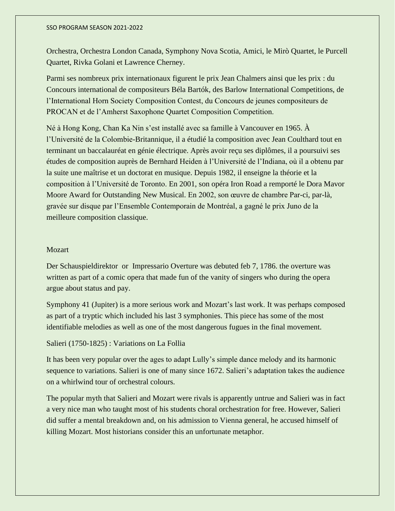Orchestra, Orchestra London Canada, Symphony Nova Scotia, Amici, le Mirò Quartet, le Purcell Quartet, Rivka Golani et Lawrence Cherney.

Parmi ses nombreux prix internationaux figurent le prix Jean Chalmers ainsi que les prix : du Concours international de compositeurs Béla Bartók, des Barlow International Competitions, de l'International Horn Society Composition Contest, du Concours de jeunes compositeurs de PROCAN et de l'Amherst Saxophone Quartet Composition Competition.

Né à Hong Kong, Chan Ka Nin s'est installé avec sa famille à Vancouver en 1965. À l'Université de la Colombie-Britannique, il a étudié la composition avec Jean Coulthard tout en terminant un baccalauréat en génie électrique. Après avoir reçu ses diplômes, il a poursuivi ses études de composition auprès de Bernhard Heiden à l'Université de l'Indiana, où il a obtenu par la suite une maîtrise et un doctorat en musique. Depuis 1982, il enseigne la théorie et la composition à l'Université de Toronto. En 2001, son opéra Iron Road a remporté le Dora Mavor Moore Award for Outstanding New Musical. En 2002, son œuvre de chambre Par-ci, par-là, gravée sur disque par l'Ensemble Contemporain de Montréal, a gagné le prix Juno de la meilleure composition classique.

### Mozart

Der Schauspieldirektor or Impressario Overture was debuted feb 7, 1786. the overture was written as part of a comic opera that made fun of the vanity of singers who during the opera argue about status and pay.

Symphony 41 (Jupiter) is a more serious work and Mozart's last work. It was perhaps composed as part of a tryptic which included his last 3 symphonies. This piece has some of the most identifiable melodies as well as one of the most dangerous fugues in the final movement.

### Salieri (1750-1825) : Variations on La Follia

It has been very popular over the ages to adapt Lully's simple dance melody and its harmonic sequence to variations. Salieri is one of many since 1672. Salieri's adaptation takes the audience on a whirlwind tour of orchestral colours.

The popular myth that Salieri and Mozart were rivals is apparently untrue and Salieri was in fact a very nice man who taught most of his students choral orchestration for free. However, Salieri did suffer a mental breakdown and, on his admission to Vienna general, he accused himself of killing Mozart. Most historians consider this an unfortunate metaphor.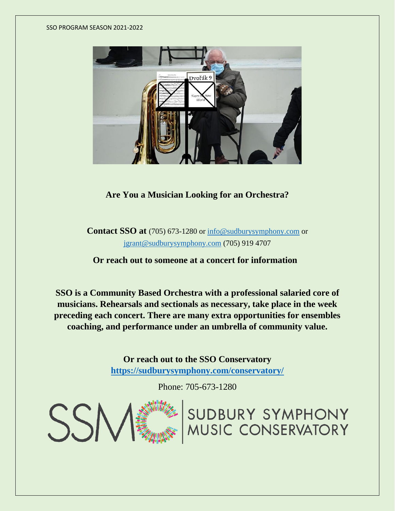

**Are You a Musician Looking for an Orchestra?**

**Contact SSO at** [\(705\) 673-1280](https://www.google.ca/search?q=sudbury+symphony&sxsrf=APq-WBtlKRgYIF0Q15Ef3ndhJx29wc6RyA%3A1650552558015&source=hp&ei=7W5hYtz9OpXrtQaouohY&iflsig=AHkkrS4AAAAAYmF8_qOQazyrz6ImE8qdKuLMoHIyD--J&oq=s&gs_lcp=Cgdnd3Mtd2l6EAEYATIECCMQJzIECCMQJzIECCMQJzIOCC4QgAQQsQMQxwEQowIyEQguEIAEELEDEIMBEMcBEKMCMg4ILhCABBCxAxDHARDRAzIOCC4QgAQQsQMQxwEQ0QMyDgguEIAEELEDEMcBEKMCMg4ILhCABBCxAxDHARCjAjILCAAQgAQQsQMQgwFQAFgAYIIZaABwAHgAgAFRiAFRkgEBMZgBAKABAQ&sclient=gws-wiz) or [info@sudburysymphony.com](mailto:info@sudburysymphony.com) or [jgrant@sudburysymphony.com](mailto:jgrant@sudburysymphony.com) (705) 919 4707

**Or reach out to someone at a concert for information**

**SSO is a Community Based Orchestra with a professional salaried core of musicians. Rehearsals and sectionals as necessary, take place in the week preceding each concert. There are many extra opportunities for ensembles coaching, and performance under an umbrella of community value.**

> **Or reach out to the SSO Conservatory <https://sudburysymphony.com/conservatory/>**

> > Phone: 705-673-1280

SUDBURY SYMPHONY<br>MUSIC CONSERVATORY

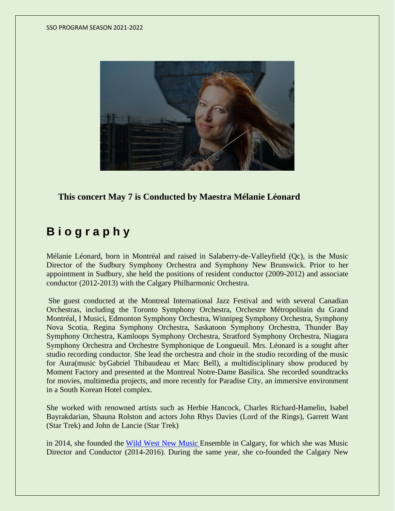

**This concert May 7 is Conducted by Maestra Mélanie Léonard**

# **B i o g r a p h y**

Mélanie Léonard, born in Montréal and raised in Salaberry-de-Valleyfield (Qc), is the Music Director of the Sudbury Symphony Orchestra and Symphony New Brunswick. Prior to her appointment in Sudbury, she held the positions of resident conductor (2009-2012) and associate conductor (2012-2013) with the Calgary Philharmonic Orchestra.

She guest conducted at the Montreal International Jazz Festival and with several Canadian Orchestras, including the Toronto Symphony Orchestra, Orchestre Métropolitain du Grand Montréal, I Musici, Edmonton Symphony Orchestra, Winnipeg Symphony Orchestra, Symphony Nova Scotia, Regina Symphony Orchestra, Saskatoon Symphony Orchestra, Thunder Bay Symphony Orchestra, Kamloops Symphony Orchestra, Stratford Symphony Orchestra, Niagara Symphony Orchestra and Orchestre Symphonique de Longueuil. Mrs. Léonard is a sought after studio recording conductor. She lead the orchestra and choir in the studio recording of the music for Aura(music byGabriel Thibaudeau et Marc Bell), a multidisciplinary show produced by Moment Factory and presented at the Montreal Notre-Dame Basilica. She recorded soundtracks for movies, multimedia projects, and more recently for Paradise City, an immersive environment in a South Korean Hotel complex.

She worked with renowned artists such as Herbie Hancock, Charles Richard-Hamelin, Isabel Bayrakdarian, Shauna Rolston and actors John Rhys Davies (Lord of the Rings), Garrett Want (Star Trek) and John de Lancie (Star Trek)

in 2014, she founded the Wild West New [Music](http://www.wildwestensemble.com/) Ensemble in Calgary, for which she was Music Director and Conductor (2014-2016). During the same year, she co-founded the Calgary New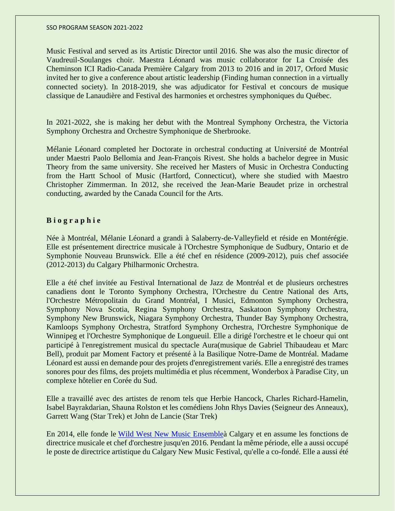Music Festival and served as its Artistic Director until 2016. She was also the music director of Vaudreuil-Soulanges choir. Maestra Léonard was music collaborator for La Croisée des Cheminson ICI Radio-Canada Première Calgary from 2013 to 2016 and in 2017, Orford Music invited her to give a conference about artistic leadership (Finding human connection in a virtually connected society). In 2018-2019, she was adjudicator for Festival et concours de musique classique de Lanaudière and Festival des harmonies et orchestres symphoniques du Québec.

In 2021-2022, she is making her debut with the Montreal Symphony Orchestra, the Victoria Symphony Orchestra and Orchestre Symphonique de Sherbrooke.

Mélanie Léonard completed her Doctorate in orchestral conducting at Université de Montréal under Maestri Paolo Bellomia and Jean-François Rivest. She holds a bachelor degree in Music Theory from the same university. She received her Masters of Music in Orchestra Conducting from the Hartt School of Music (Hartford, Connecticut), where she studied with Maestro Christopher Zimmerman. In 2012, she received the Jean-Marie Beaudet prize in orchestral conducting, awarded by the Canada Council for the Arts.

# **B i o g r a p h i e**

Née à Montréal, Mélanie Léonard a grandi à Salaberry-de-Valleyfield et réside en Montérégie. Elle est présentement directrice musicale à l'Orchestre Symphonique de Sudbury, Ontario et de Symphonie Nouveau Brunswick. Elle a été chef en résidence (2009-2012), puis chef associée (2012-2013) du Calgary Philharmonic Orchestra.

Elle a été chef invitée au Festival International de Jazz de Montréal et de plusieurs orchestres canadiens dont le Toronto Symphony Orchestra, l'Orchestre du Centre National des Arts, l'Orchestre Métropolitain du Grand Montréal, I Musici, Edmonton Symphony Orchestra, Symphony Nova Scotia, Regina Symphony Orchestra, Saskatoon Symphony Orchestra, Symphony New Brunswick, Niagara Symphony Orchestra, Thunder Bay Symphony Orchestra, Kamloops Symphony Orchestra, Stratford Symphony Orchestra, l'Orchestre Symphonique de Winnipeg et l'Orchestre Symphonique de Longueuil. Elle a dirigé l'orchestre et le choeur qui ont participé à l'enregistrement musical du spectacle Aura(musique de Gabriel Thibaudeau et Marc Bell), produit par Moment Factory et présenté à la Basilique Notre-Dame de Montréal. Madame Léonard est aussi en demande pour des projets d'enregistrement variés. Elle a enregistré des trames sonores pour des films, des projets multimédia et plus récemment, Wonderbox à Paradise City, un complexe hôtelier en Corée du Sud.

Elle a travaillé avec des artistes de renom tels que Herbie Hancock, Charles Richard-Hamelin, Isabel Bayrakdarian, Shauna Rolston et les comédiens John Rhys Davies (Seigneur des Anneaux), Garrett Wang (Star Trek) et John de Lancie (Star Trek)

En 2014, elle fonde le Wild West New Music [Ensembleà](http://www.wildwestensemble.com/) Calgary et en assume les fonctions de directrice musicale et chef d'orchestre jusqu'en 2016. Pendant la même période, elle a aussi occupé le poste de directrice artistique du Calgary New Music Festival, qu'elle a co-fondé. Elle a aussi été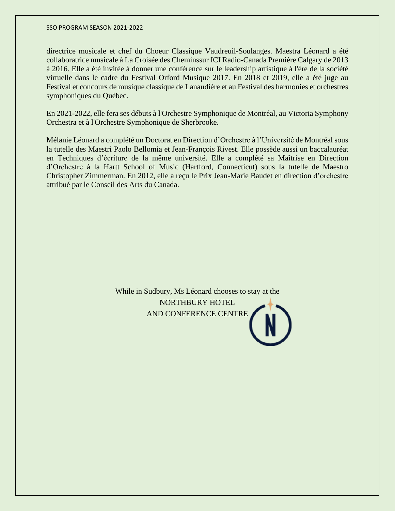directrice musicale et chef du Choeur Classique Vaudreuil-Soulanges. Maestra Léonard a été collaboratrice musicale à La Croisée des Cheminssur ICI Radio-Canada Première Calgary de 2013 à 2016. Elle a été invitée à donner une conférence sur le leadership artistique à l'ère de la société virtuelle dans le cadre du Festival Orford Musique 2017. En 2018 et 2019, elle a été juge au Festival et concours de musique classique de Lanaudière et au Festival des harmonies et orchestres symphoniques du Québec.

En 2021-2022, elle fera ses débuts à l'Orchestre Symphonique de Montréal, au Victoria Symphony Orchestra et à l'Orchestre Symphonique de Sherbrooke.

Mélanie Léonard a complété un Doctorat en Direction d'Orchestre à l'Université de Montréal sous la tutelle des Maestri Paolo Bellomia et Jean-François Rivest. Elle possède aussi un baccalauréat en Techniques d'écriture de la même université. Elle a complété sa Maîtrise en Direction d'Orchestre à la Hartt School of Music (Hartford, Connecticut) sous la tutelle de Maestro Christopher Zimmerman. En 2012, elle a reçu le Prix Jean-Marie Baudet en direction d'orchestre attribué par le Conseil des Arts du Canada.

> While in Sudbury, Ms Léonard chooses to stay at the NORTHBURY HOTEL AND CONFERENCE CENTRE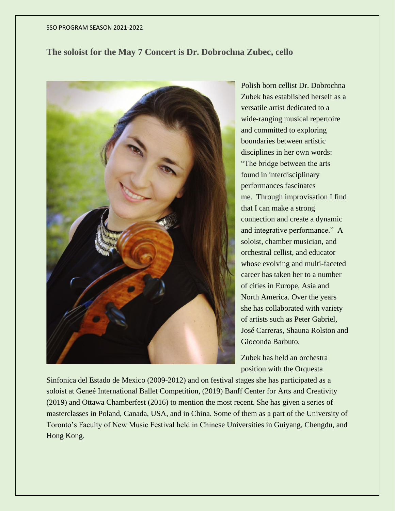# **The soloist for the May 7 Concert is Dr. Dobrochna Zubec, cello**



Polish born cellist Dr. Dobrochna Zubek has established herself as a versatile artist dedicated to a wide-ranging musical repertoire and committed to exploring boundaries between artistic disciplines in her own words: "The bridge between the arts found in interdisciplinary performances fascinates me. Through improvisation I find that I can make a strong connection and create a dynamic and integrative performance." A soloist, chamber musician, and orchestral cellist, and educator whose evolving and multi-faceted career has taken her to a number of cities in Europe, Asia and North America. Over the years she has collaborated with variety of artists such as Peter Gabriel, José Carreras, Shauna Rolston and Gioconda Barbuto.

Zubek has held an orchestra position with the Orquesta

Sinfonica del Estado de Mexico (2009-2012) and on festival stages she has participated as a soloist at Geneé International Ballet Competition, (2019) Banff Center for Arts and Creativity (2019) and Ottawa Chamberfest (2016) to mention the most recent. She has given a series of masterclasses in Poland, Canada, USA, and in China. Some of them as a part of the University of Toronto's Faculty of New Music Festival held in Chinese Universities in Guiyang, Chengdu, and Hong Kong.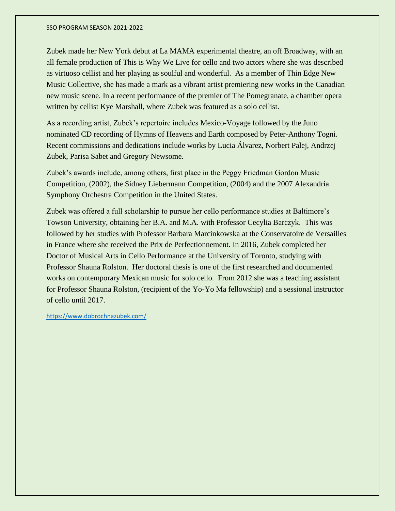Zubek made her New York debut at La MAMA experimental theatre, an off Broadway, with an all female production of This is Why We Live for cello and two actors where she was described as virtuoso cellist and her playing as soulful and wonderful. As a member of Thin Edge New Music Collective, she has made a mark as a vibrant artist premiering new works in the Canadian new music scene. In a recent performance of the premier of The Pomegranate, a chamber opera written by cellist Kye Marshall, where Zubek was featured as a solo cellist.

As a recording artist, Zubek's repertoire includes Mexico-Voyage followed by the Juno nominated CD recording of Hymns of Heavens and Earth composed by Peter-Anthony Togni. Recent commissions and dedications include works by Lucia Álvarez, Norbert Palej, Andrzej Zubek, Parisa Sabet and Gregory Newsome.

Zubek's awards include, among others, first place in the Peggy Friedman Gordon Music Competition, (2002), the Sidney Liebermann Competition, (2004) and the 2007 Alexandria Symphony Orchestra Competition in the United States.

Zubek was offered a full scholarship to pursue her cello performance studies at Baltimore's Towson University, obtaining her B.A. and M.A. with Professor Cecylia Barczyk. This was followed by her studies with Professor Barbara Marcinkowska at the Conservatoire de Versailles in France where she received the Prix de Perfectionnement. In 2016, Zubek completed her Doctor of Musical Arts in Cello Performance at the University of Toronto, studying with Professor Shauna Rolston. Her doctoral thesis is one of the first researched and documented works on contemporary Mexican music for solo cello. From 2012 she was a teaching assistant for Professor Shauna Rolston, (recipient of the Yo-Yo Ma fellowship) and a sessional instructor of cello until 2017.

<https://www.dobrochnazubek.com/>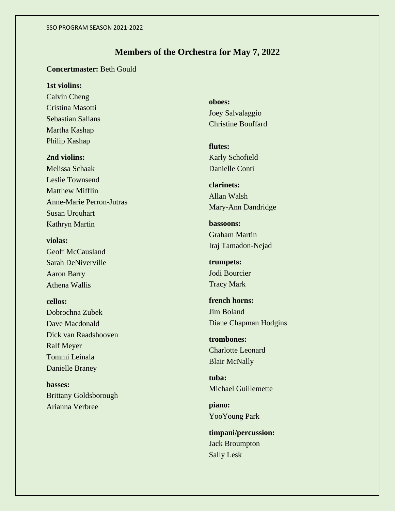# **Members of the Orchestra for May 7, 2022**

# **Concertmaster:** Beth Gould

# **1st violins:**

Calvin Cheng Cristina Masotti Sebastian Sallans Martha Kashap Philip Kashap

# **2nd violins:**

Melissa Schaak Leslie Townsend Matthew Mifflin Anne-Marie Perron-Jutras Susan Urquhart Kathryn Martin

**violas:** Geoff McCausland Sarah DeNiverville Aaron Barry Athena Wallis

### **cellos:**

Dobrochna Zubek Dave Macdonald Dick van Raadshooven Ralf Meyer Tommi Leinala Danielle Braney

**basses:** Brittany Goldsborough Arianna Verbree

**oboes:** Joey Salvalaggio Christine Bouffard

**flutes:** Karly Schofield Danielle Conti

**clarinets:** Allan Walsh Mary-Ann Dandridge

**bassoons:** Graham Martin Iraj Tamadon-Nejad

**trumpets:** Jodi Bourcier Tracy Mark

**french horns:** Jim Boland Diane Chapman Hodgins

**trombones:** Charlotte Leonard Blair McNally

**tuba:** Michael Guillemette

**piano:** YooYoung Park

**timpani/percussion:** Jack Broumpton Sally Lesk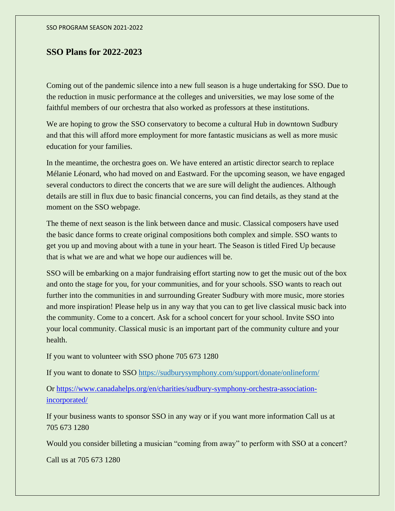# **SSO Plans for 2022-2023**

Coming out of the pandemic silence into a new full season is a huge undertaking for SSO. Due to the reduction in music performance at the colleges and universities, we may lose some of the faithful members of our orchestra that also worked as professors at these institutions.

We are hoping to grow the SSO conservatory to become a cultural Hub in downtown Sudbury and that this will afford more employment for more fantastic musicians as well as more music education for your families.

In the meantime, the orchestra goes on. We have entered an artistic director search to replace Mélanie Léonard, who had moved on and Eastward. For the upcoming season, we have engaged several conductors to direct the concerts that we are sure will delight the audiences. Although details are still in flux due to basic financial concerns, you can find details, as they stand at the moment on the SSO webpage.

The theme of next season is the link between dance and music. Classical composers have used the basic dance forms to create original compositions both complex and simple. SSO wants to get you up and moving about with a tune in your heart. The Season is titled Fired Up because that is what we are and what we hope our audiences will be.

SSO will be embarking on a major fundraising effort starting now to get the music out of the box and onto the stage for you, for your communities, and for your schools. SSO wants to reach out further into the communities in and surrounding Greater Sudbury with more music, more stories and more inspiration! Please help us in any way that you can to get live classical music back into the community. Come to a concert. Ask for a school concert for your school. Invite SSO into your local community. Classical music is an important part of the community culture and your health.

If you want to volunteer with SSO phone 705 673 1280

If you want to donate to SSO <https://sudburysymphony.com/support/donate/onlineform/>

Or [https://www.canadahelps.org/en/charities/sudbury-symphony-orchestra-association](https://www.canadahelps.org/en/charities/sudbury-symphony-orchestra-association-incorporated/)[incorporated/](https://www.canadahelps.org/en/charities/sudbury-symphony-orchestra-association-incorporated/)

If your business wants to sponsor SSO in any way or if you want more information Call us at 705 673 1280

Would you consider billeting a musician "coming from away" to perform with SSO at a concert?

Call us at 705 673 1280